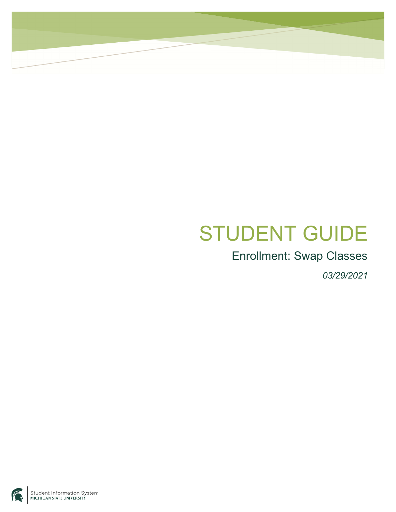## STUDENT GUIDE

## Enrollment: Swap Classes

*03/29/2021* 

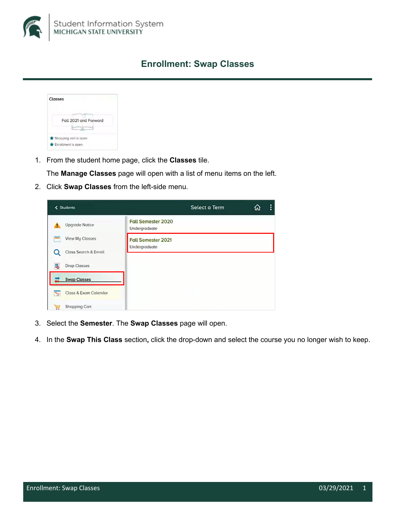

## **Enrollment: Swap Classes**



1. From the student home page, click the Classes tile.

The Manage Classes page will open with a list of menu items on the left.

2. Click Swap Classes from the left-side menu.

| < Students                 |                                                   | Select a Term | ω | ፧ |
|----------------------------|---------------------------------------------------|---------------|---|---|
| <b>Upgrode Notice</b>      | <b>Fall Semester 2020</b><br><b>Undergraduate</b> |               |   |   |
| View My Classes            | <b>Fall Semester 2021</b>                         |               |   |   |
| Class Search & Enroll      | Undergraduate                                     |               |   |   |
| ₹<br><b>Drop Classes</b>   |                                                   |               |   |   |
| <b>Swap Classes</b>        |                                                   |               |   |   |
| Class & Exam Calendar<br>₻ |                                                   |               |   |   |
| Shopping Cart<br>局         |                                                   |               |   |   |

- 3. Select the Semester. The Swap Classes page will open.
- 4. In the Swap This Class section, click the drop-down and select the course you no longer wish to keep.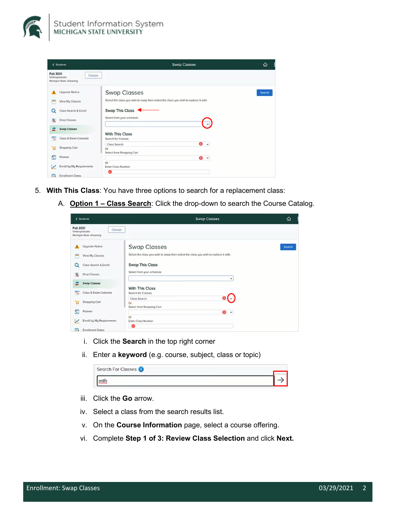

| < Students                                                               | <b>Swap Classes</b>                                                                  | ⋒      |
|--------------------------------------------------------------------------|--------------------------------------------------------------------------------------|--------|
| <b>Fall 2021</b><br>Change<br>Undergraduate<br>Michigan State University |                                                                                      |        |
| Upgrade Notice                                                           | <b>Swap Classes</b>                                                                  | Search |
| ≕<br>View My Classes                                                     | Select the class you wish to swap then select the class you wish to replace it with. |        |
| Class Search & Enroll<br>Q                                               | Swap This Class                                                                      |        |
| 局<br><b>Drop Classes</b>                                                 | Select from your schedule                                                            |        |
| <b>Swap Classes</b><br>ᅹ                                                 |                                                                                      |        |
| Class & Exam Calendar<br>τ                                               | <b>With This Class</b><br>Search for Classes                                         |        |
|                                                                          | $\bullet$<br>Class Search<br>$\check{~}$                                             |        |
| Shopping Cart<br>W                                                       | Or<br>Select from Shopping Cart                                                      |        |
| Ë<br>Planner                                                             | <b>B</b><br>$\check{ }$                                                              |        |
| Enroll by My Requirements<br>V                                           | Or<br><b>Enter Class Number</b>                                                      |        |
| 曲<br><b>Enrollment Dates</b>                                             | $\bullet$                                                                            |        |

- 5. With This Class: You have three options to search for a replacement class:
	- A. Option 1 Class Search: Click the drop-down to search the Course Catalog.

| < Students                                                               | <b>Swap Classes</b>                                                                  | ⋒             |
|--------------------------------------------------------------------------|--------------------------------------------------------------------------------------|---------------|
| <b>Fall 2021</b><br>Change<br>Undergraduate<br>Michigan State University |                                                                                      |               |
| Upgrade Notice                                                           | <b>Swap Classes</b>                                                                  | <b>Search</b> |
| View My Classes                                                          | Select the class you wish to swap then select the class you wish to replace it with. |               |
| Class Search & Enroll<br>Q                                               | <b>Swap This Class</b>                                                               |               |
| 局<br><b>Drop Classes</b>                                                 | Select from your schedule                                                            |               |
| <b>Swap Classes</b>                                                      | $\check{ }$                                                                          |               |
| Class & Exam Calendar<br>$\overline{\phantom{a}}$                        | <b>With This Class</b><br>Search for Classes                                         |               |
| Shopping Cart<br>γij                                                     | Class Search<br>Or                                                                   |               |
| Ë<br>Planner                                                             | Select from Shopping Cart<br>6<br>$\check{ }$                                        |               |
| Enroll by My Requirements<br>M                                           | Or<br><b>Enter Class Number</b>                                                      |               |
| 曲<br><b>Enrollment Dates</b>                                             | $\bullet$                                                                            |               |

- i. Click the Search in the top right corner
- ii. Enter a keyword (e.g. course, subject, class or topic)

| Search For Classes |  |
|--------------------|--|
|                    |  |

- iii. Click the Go arrow.
- iv. Select a class from the search results list.
- v. On the Course Information page, select a course offering.
- vi. Complete Step 1 of 3: Review Class Selection and click Next.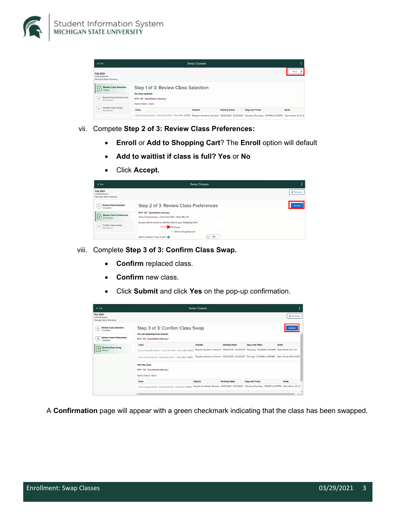



- vii. Compete Step 2 of 3: Review Class Preferences:
	- Enroll or Add to Shopping Cart? The Enroll option will default
	- Add to waitlist if class is full? Yes or No
	- Click Accept.

| $\times$ Exit                                                                                                                                                               | <b>Swap Classes</b>                                                                                                                                                                                                                                                                             | 2          |
|-----------------------------------------------------------------------------------------------------------------------------------------------------------------------------|-------------------------------------------------------------------------------------------------------------------------------------------------------------------------------------------------------------------------------------------------------------------------------------------------|------------|
| <b>Fall 2021</b><br>Undergraduate<br>Michigan State University                                                                                                              |                                                                                                                                                                                                                                                                                                 | < Previous |
| <b>Review Class Selection</b><br>$\mathbf{1}$<br>Complete<br><b>Review Class Preferences</b><br>In Progress<br>Confirm Class Swap<br>$\overline{\mathbf{3}}$<br>Not Started | Step 2 of 3: Review Class Preferences<br>MTH 101 Quantitative Literacy I<br>Class Comp Lecture - Class Sect 025 - Class Nbr 20<br>Do you wish to enroll or add the class to your Shopping Cart?<br>$\bullet$ Enroll<br>○ Add to Shopping Cart<br><b>No</b><br>Add to waitlist if class is full? | Accept     |

- viii. Complete Step 3 of 3: Confirm Class Swap.
	- **Confirm replaced class.**  $\bullet$
	- Confirm new class.
	- Click Submit and click Yes on the pop-up confirmation.

| $\times$ Exit                                                                                                                       |                                                                                                       | <b>Swap Classes</b>                              |                      |                                                                                                | Ŧ                     |
|-------------------------------------------------------------------------------------------------------------------------------------|-------------------------------------------------------------------------------------------------------|--------------------------------------------------|----------------------|------------------------------------------------------------------------------------------------|-----------------------|
| <b>Fall 2021</b><br>Undergraduate<br>Michigan State University                                                                      |                                                                                                       |                                                  |                      |                                                                                                | ₹ Previous            |
| <b>Review Class Selection</b><br>$\mathbf{1}$<br>Complete<br><b>Review Class Preferences</b><br>$\overline{\mathbf{z}}$<br>Complete | Step 3 of 3: Confirm Class Swap<br>You are replacing these Classes<br>MTH 101 Quantitative Literacy I |                                                  |                      |                                                                                                | Submi                 |
|                                                                                                                                     | Closs                                                                                                 | Session                                          | <b>Meeting Dates</b> | Daus and Times                                                                                 | Seats                 |
| <b>Confirm Class Swap</b><br>$\overline{3}$<br>Visited                                                                              | Class Comp Recitation - Class Sect 001 - Class Nbr 20856                                              |                                                  |                      | Regular Academic Session 09/01/2021 - 12/12/2021 Thursday 8:30AM to 9:50AM Open Seats 30 of 31 |                       |
|                                                                                                                                     | Class Comp Lecture - Class Sect LEC2 - Class Nbr 20885                                                |                                                  |                      | Regular Academic Session 09/01/2021 - 12/12/2021 Tuesday 8:30AM to 9:50AM                      | Open Seats 246 of 247 |
|                                                                                                                                     | With this Class<br>MTH 101 Quantitative Literacy I<br>Option Status Open                              |                                                  |                      |                                                                                                |                       |
|                                                                                                                                     | Class                                                                                                 | Session                                          | <b>Meeting Dates</b> | Days and Times                                                                                 | Seats                 |
|                                                                                                                                     | Class Comp Lecture - Class Sect 025 - Class Nbr 20880                                                 | Regular Academic Session 09/01/2021 - 12/12/2021 |                      | Tuesday Thursday 4:10PM to 5:30PM Open Seats 32 of                                             | ٠<br>٠                |

A Confirmation page will appear with a green checkmark indicating that the class has been swapped.